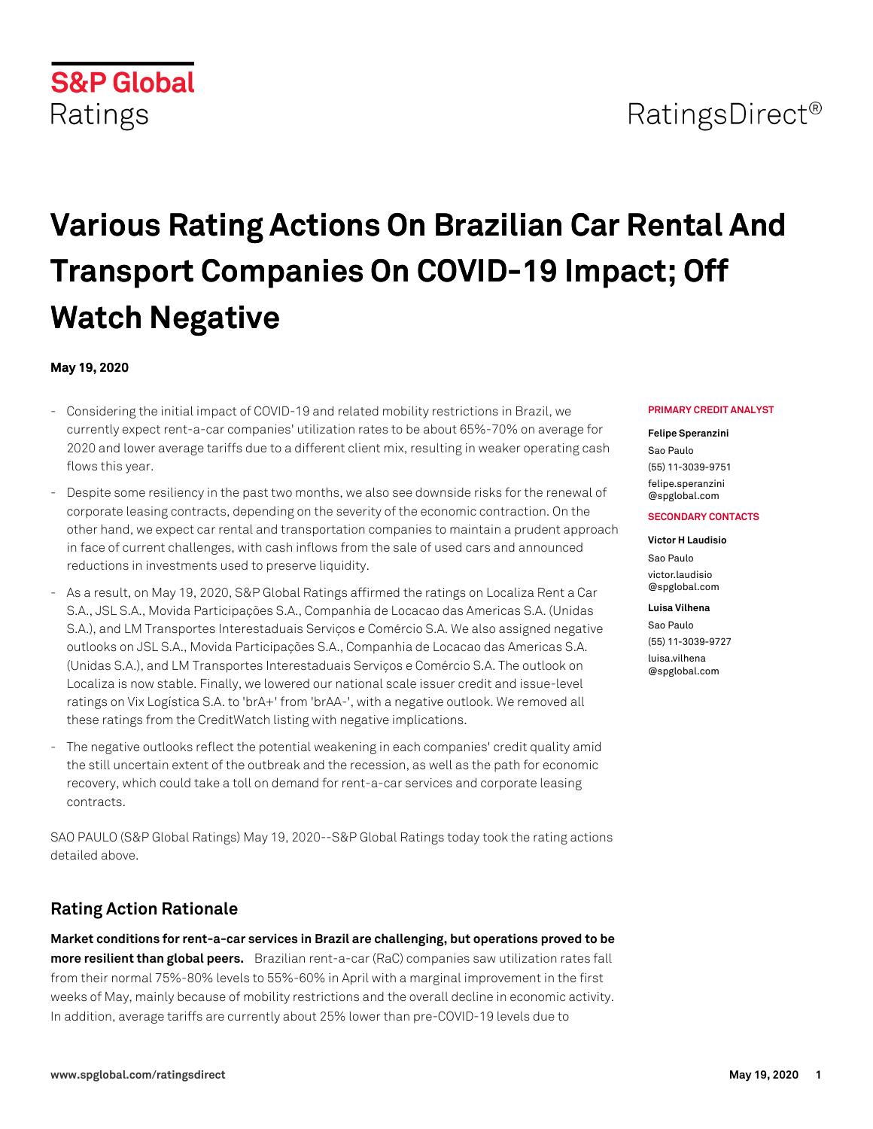# RatingsDirect<sup>®</sup>

# **Various Rating Actions On Brazilian Car Rental And Transport Companies On COVID-19 Impact; Off Watch Negative**

#### **May 19, 2020**

**S&P Global** 

Ratings

- Considering the initial impact of COVID-19 and related mobility restrictions in Brazil, we currently expect rent-a-car companies' utilization rates to be about 65%-70% on average for 2020 and lower average tariffs due to a different client mix, resulting in weaker operating cash flows this year.
- Despite some resiliency in the past two months, we also see downside risks for the renewal of corporate leasing contracts, depending on the severity of the economic contraction. On the other hand, we expect car rental and transportation companies to maintain a prudent approach in face of current challenges, with cash inflows from the sale of used cars and announced reductions in investments used to preserve liquidity.
- As a result, on May 19, 2020, S&P Global Ratings affirmed the ratings on Localiza Rent a Car S.A., JSL S.A., Movida Participações S.A., Companhia de Locacao das Americas S.A. (Unidas S.A.), and LM Transportes Interestaduais Serviços e Comércio S.A. We also assigned negative outlooks on JSL S.A., Movida Participações S.A., Companhia de Locacao das Americas S.A. (Unidas S.A.), and LM Transportes Interestaduais Serviços e Comércio S.A. The outlook on Localiza is now stable. Finally, we lowered our national scale issuer credit and issue-level ratings on Vix Logística S.A. to 'brA+' from 'brAA-', with a negative outlook. We removed all these ratings from the CreditWatch listing with negative implications.
- The negative outlooks reflect the potential weakening in each companies' credit quality amid the still uncertain extent of the outbreak and the recession, as well as the path for economic recovery, which could take a toll on demand for rent-a-car services and corporate leasing contracts.

SAO PAULO (S&P Global Ratings) May 19, 2020--S&P Global Ratings today took the rating actions detailed above.

# **Rating Action Rationale**

**Market conditions for rent-a-car services in Brazil are challenging, but operations proved to be more resilient than global peers.** Brazilian rent-a-car (RaC) companies saw utilization rates fall from their normal 75%-80% levels to 55%-60% in April with a marginal improvement in the first weeks of May, mainly because of mobility restrictions and the overall decline in economic activity. In addition, average tariffs are currently about 25% lower than pre-COVID-19 levels due to

#### **PRIMARY CREDIT ANALYST**

#### **Felipe Speranzini**

Sao Paulo (55) 11-3039-9751 [felipe.speranzini](mailto: felipe.speranzini@spglobal.com) [@spglobal.com](mailto: felipe.speranzini@spglobal.com)

#### **SECONDARY CONTACTS**

**Victor H Laudisio** Sao Paulo [victor.laudisio](mailto: victor.laudisio@spglobal.com) [@spglobal.com](mailto: victor.laudisio@spglobal.com)

#### **Luisa Vilhena**

Sao Paulo (55) 11-3039-9727 [luisa.vilhena](mailto: luisa.vilhena@spglobal.com) [@spglobal.com](mailto: luisa.vilhena@spglobal.com)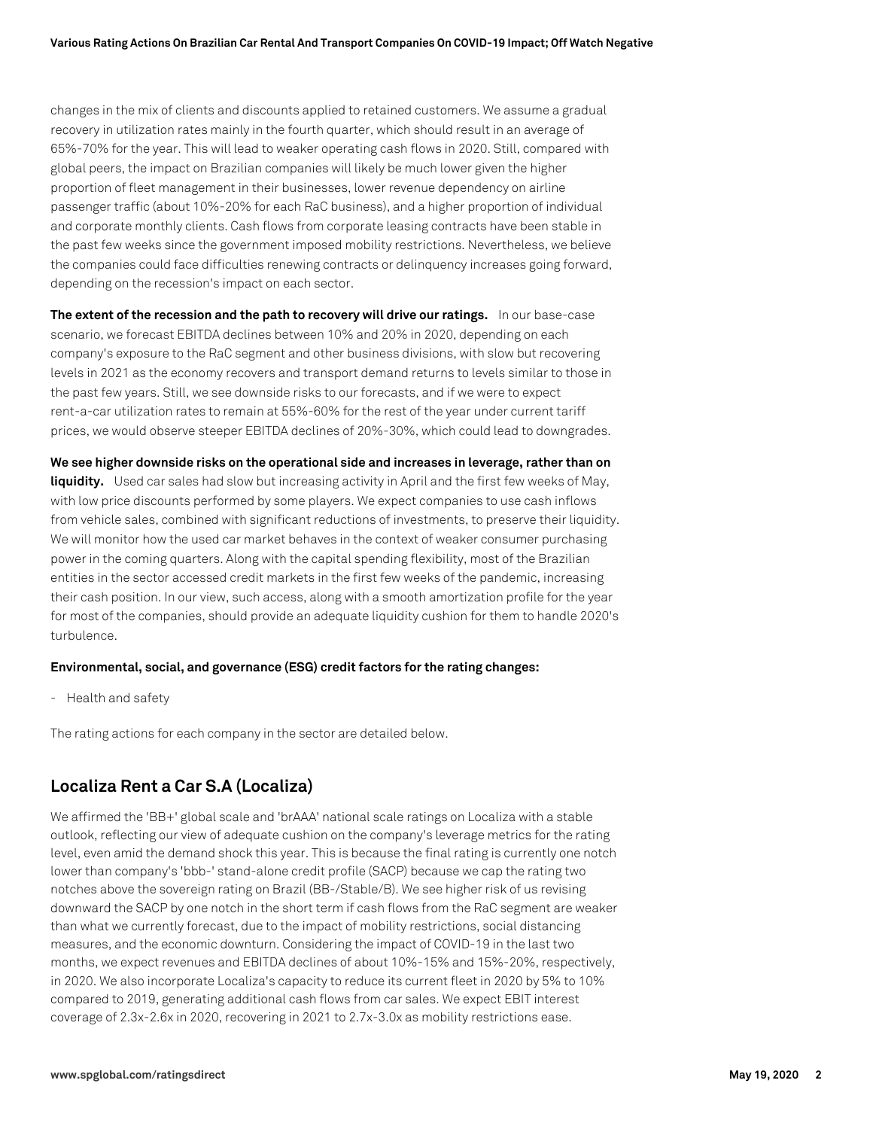changes in the mix of clients and discounts applied to retained customers. We assume a gradual recovery in utilization rates mainly in the fourth quarter, which should result in an average of 65%-70% for the year. This will lead to weaker operating cash flows in 2020. Still, compared with global peers, the impact on Brazilian companies will likely be much lower given the higher proportion of fleet management in their businesses, lower revenue dependency on airline passenger traffic (about 10%-20% for each RaC business), and a higher proportion of individual and corporate monthly clients. Cash flows from corporate leasing contracts have been stable in the past few weeks since the government imposed mobility restrictions. Nevertheless, we believe the companies could face difficulties renewing contracts or delinquency increases going forward, depending on the recession's impact on each sector.

**The extent of the recession and the path to recovery will drive our ratings.** In our base-case scenario, we forecast EBITDA declines between 10% and 20% in 2020, depending on each company's exposure to the RaC segment and other business divisions, with slow but recovering levels in 2021 as the economy recovers and transport demand returns to levels similar to those in the past few years. Still, we see downside risks to our forecasts, and if we were to expect rent-a-car utilization rates to remain at 55%-60% for the rest of the year under current tariff prices, we would observe steeper EBITDA declines of 20%-30%, which could lead to downgrades.

**We see higher downside risks on the operational side and increases in leverage, rather than on liquidity.** Used car sales had slow but increasing activity in April and the first few weeks of May, with low price discounts performed by some players. We expect companies to use cash inflows from vehicle sales, combined with significant reductions of investments, to preserve their liquidity. We will monitor how the used car market behaves in the context of weaker consumer purchasing power in the coming quarters. Along with the capital spending flexibility, most of the Brazilian entities in the sector accessed credit markets in the first few weeks of the pandemic, increasing their cash position. In our view, such access, along with a smooth amortization profile for the year for most of the companies, should provide an adequate liquidity cushion for them to handle 2020's turbulence.

#### **Environmental, social, and governance (ESG) credit factors for the rating changes:**

- Health and safety

The rating actions for each company in the sector are detailed below.

## **Localiza Rent a Car S.A (Localiza)**

We affirmed the 'BB+' global scale and 'brAAA' national scale ratings on Localiza with a stable outlook, reflecting our view of adequate cushion on the company's leverage metrics for the rating level, even amid the demand shock this year. This is because the final rating is currently one notch lower than company's 'bbb-' stand-alone credit profile (SACP) because we cap the rating two notches above the sovereign rating on Brazil (BB-/Stable/B). We see higher risk of us revising downward the SACP by one notch in the short term if cash flows from the RaC segment are weaker than what we currently forecast, due to the impact of mobility restrictions, social distancing measures, and the economic downturn. Considering the impact of COVID-19 in the last two months, we expect revenues and EBITDA declines of about 10%-15% and 15%-20%, respectively, in 2020. We also incorporate Localiza's capacity to reduce its current fleet in 2020 by 5% to 10% compared to 2019, generating additional cash flows from car sales. We expect EBIT interest coverage of 2.3x-2.6x in 2020, recovering in 2021 to 2.7x-3.0x as mobility restrictions ease.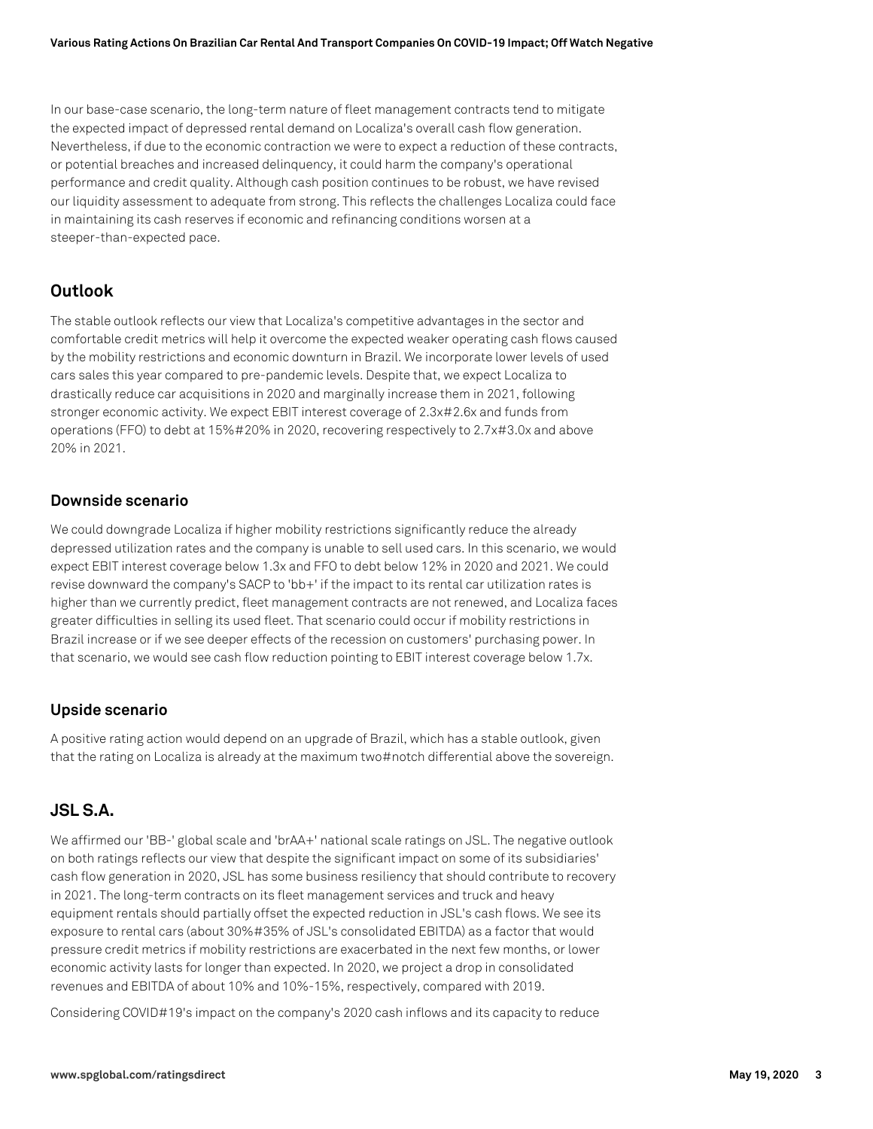In our base-case scenario, the long-term nature of fleet management contracts tend to mitigate the expected impact of depressed rental demand on Localiza's overall cash flow generation. Nevertheless, if due to the economic contraction we were to expect a reduction of these contracts, or potential breaches and increased delinquency, it could harm the company's operational performance and credit quality. Although cash position continues to be robust, we have revised our liquidity assessment to adequate from strong. This reflects the challenges Localiza could face in maintaining its cash reserves if economic and refinancing conditions worsen at a steeper-than-expected pace.

## **Outlook**

The stable outlook reflects our view that Localiza's competitive advantages in the sector and comfortable credit metrics will help it overcome the expected weaker operating cash flows caused by the mobility restrictions and economic downturn in Brazil. We incorporate lower levels of used cars sales this year compared to pre-pandemic levels. Despite that, we expect Localiza to drastically reduce car acquisitions in 2020 and marginally increase them in 2021, following stronger economic activity. We expect EBIT interest coverage of 2.3x#2.6x and funds from operations (FFO) to debt at 15%#20% in 2020, recovering respectively to 2.7x#3.0x and above 20% in 2021.

#### **Downside scenario**

We could downgrade Localiza if higher mobility restrictions significantly reduce the already depressed utilization rates and the company is unable to sell used cars. In this scenario, we would expect EBIT interest coverage below 1.3x and FFO to debt below 12% in 2020 and 2021. We could revise downward the company's SACP to 'bb+' if the impact to its rental car utilization rates is higher than we currently predict, fleet management contracts are not renewed, and Localiza faces greater difficulties in selling its used fleet. That scenario could occur if mobility restrictions in Brazil increase or if we see deeper effects of the recession on customers' purchasing power. In that scenario, we would see cash flow reduction pointing to EBIT interest coverage below 1.7x.

#### **Upside scenario**

A positive rating action would depend on an upgrade of Brazil, which has a stable outlook, given that the rating on Localiza is already at the maximum two#notch differential above the sovereign.

## **JSL S.A.**

We affirmed our 'BB-' global scale and 'brAA+' national scale ratings on JSL. The negative outlook on both ratings reflects our view that despite the significant impact on some of its subsidiaries' cash flow generation in 2020, JSL has some business resiliency that should contribute to recovery in 2021. The long-term contracts on its fleet management services and truck and heavy equipment rentals should partially offset the expected reduction in JSL's cash flows. We see its exposure to rental cars (about 30%#35% of JSL's consolidated EBITDA) as a factor that would pressure credit metrics if mobility restrictions are exacerbated in the next few months, or lower economic activity lasts for longer than expected. In 2020, we project a drop in consolidated revenues and EBITDA of about 10% and 10%-15%, respectively, compared with 2019.

Considering COVID#19's impact on the company's 2020 cash inflows and its capacity to reduce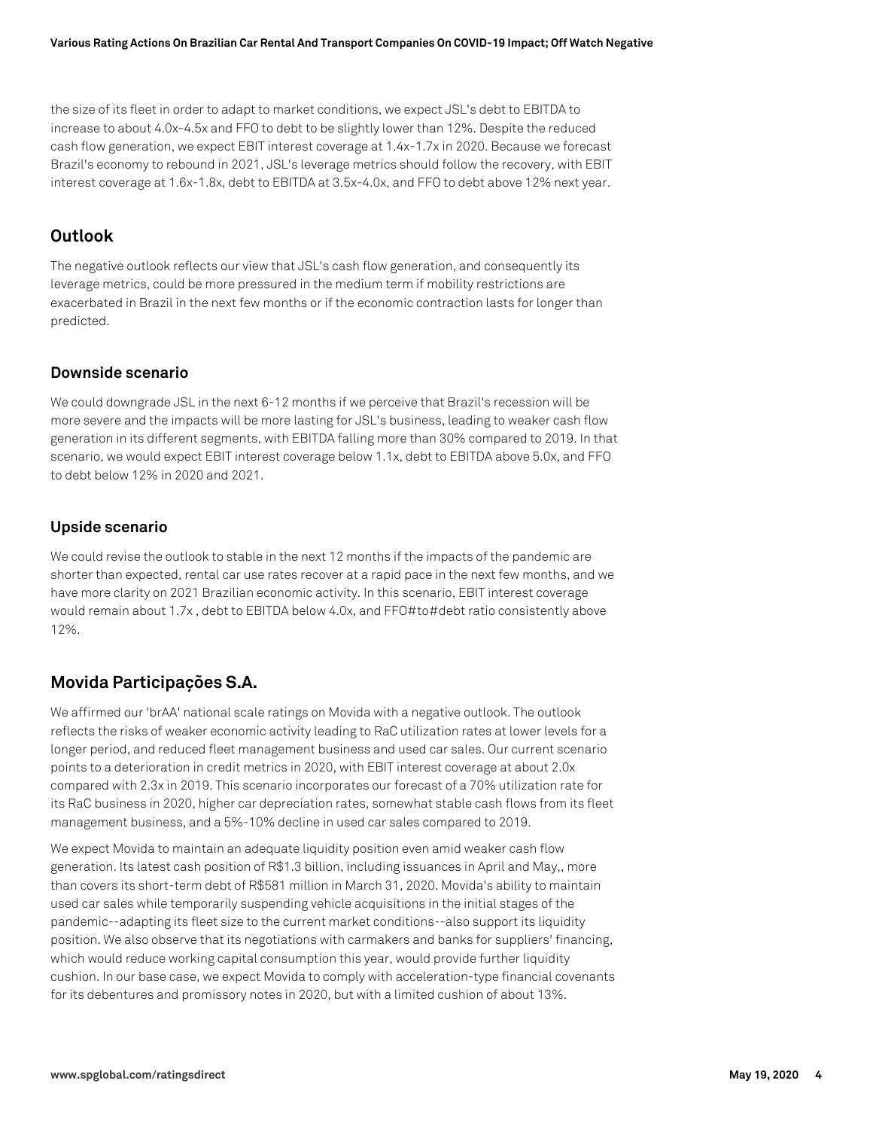the size of its fleet in order to adapt to market conditions, we expect JSL's debt to EBITDA to increase to about 4.0x-4.5x and FFO to debt to be slightly lower than 12%. Despite the reduced cash flow generation, we expect EBIT interest coverage at 1.4x-1.7x in 2020. Because we forecast Brazil's economy to rebound in 2021, JSL's leverage metrics should follow the recovery, with EBIT interest coverage at 1.6x-1.8x, debt to EBITDA at 3.5x-4.0x, and FFO to debt above 12% next year.

## **Outlook**

The negative outlook reflects our view that JSL's cash flow generation, and consequently its leverage metrics, could be more pressured in the medium term if mobility restrictions are exacerbated in Brazil in the next few months or if the economic contraction lasts for longer than predicted.

#### **Downside scenario**

We could downgrade JSL in the next 6-12 months if we perceive that Brazil's recession will be more severe and the impacts will be more lasting for JSL's business, leading to weaker cash flow generation in its different segments, with EBITDA falling more than 30% compared to 2019. In that scenario, we would expect EBIT interest coverage below 1.1x, debt to EBITDA above 5.0x, and FFO to debt below 12% in 2020 and 2021.

#### **Upside scenario**

We could revise the outlook to stable in the next 12 months if the impacts of the pandemic are shorter than expected, rental car use rates recover at a rapid pace in the next few months, and we have more clarity on 2021 Brazilian economic activity. In this scenario, EBIT interest coverage would remain about 1.7x , debt to EBITDA below 4.0x, and FFO#to#debt ratio consistently above 12%.

# **Movida Participações S.A.**

We affirmed our 'brAA' national scale ratings on Movida with a negative outlook. The outlook reflects the risks of weaker economic activity leading to RaC utilization rates at lower levels for a longer period, and reduced fleet management business and used car sales. Our current scenario points to a deterioration in credit metrics in 2020, with EBIT interest coverage at about 2.0x compared with 2.3x in 2019. This scenario incorporates our forecast of a 70% utilization rate for its RaC business in 2020, higher car depreciation rates, somewhat stable cash flows from its fleet management business, and a 5%-10% decline in used car sales compared to 2019.

We expect Movida to maintain an adequate liquidity position even amid weaker cash flow generation. Its latest cash position of R\$1.3 billion, including issuances in April and May,, more than covers its short-term debt of R\$581 million in March 31, 2020. Movida's ability to maintain used car sales while temporarily suspending vehicle acquisitions in the initial stages of the pandemic--adapting its fleet size to the current market conditions--also support its liquidity position. We also observe that its negotiations with carmakers and banks for suppliers' financing, which would reduce working capital consumption this year, would provide further liquidity cushion. In our base case, we expect Movida to comply with acceleration-type financial covenants for its debentures and promissory notes in 2020, but with a limited cushion of about 13%.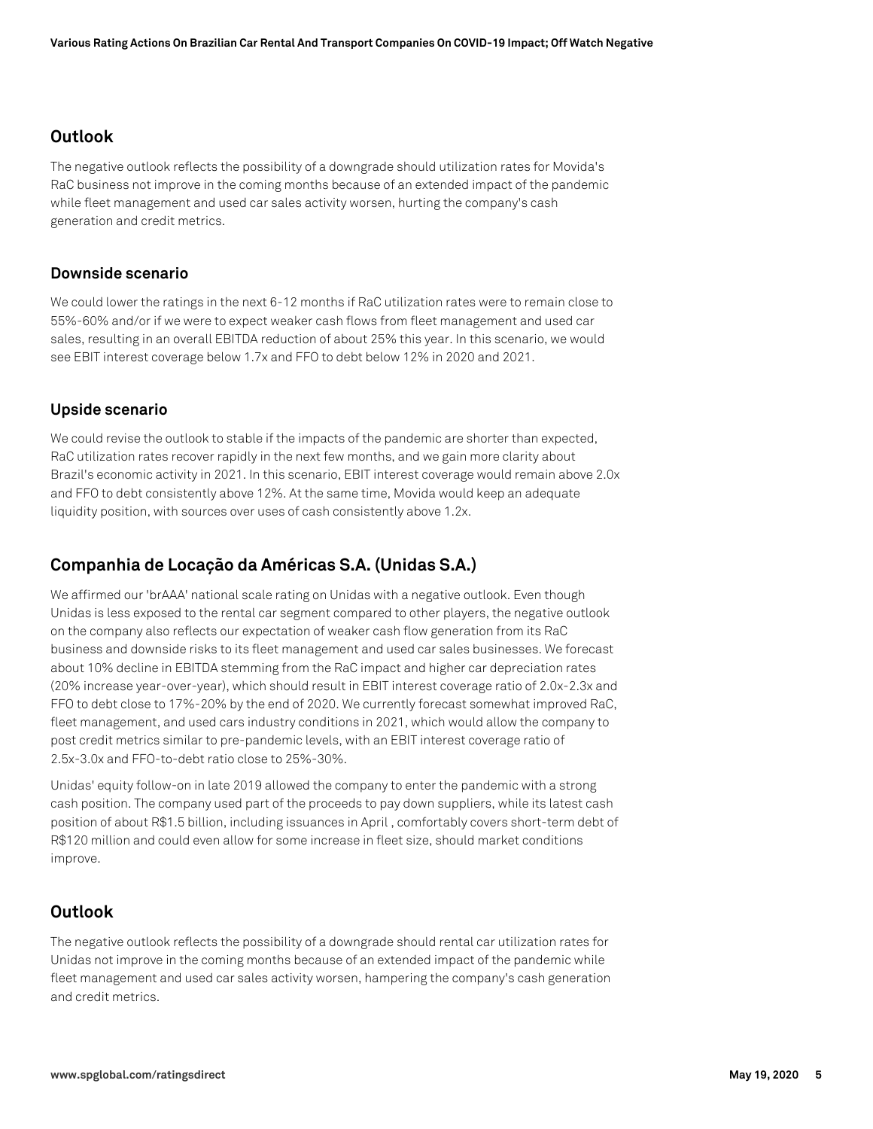## **Outlook**

The negative outlook reflects the possibility of a downgrade should utilization rates for Movida's RaC business not improve in the coming months because of an extended impact of the pandemic while fleet management and used car sales activity worsen, hurting the company's cash generation and credit metrics.

#### **Downside scenario**

We could lower the ratings in the next 6-12 months if RaC utilization rates were to remain close to 55%-60% and/or if we were to expect weaker cash flows from fleet management and used car sales, resulting in an overall EBITDA reduction of about 25% this year. In this scenario, we would see EBIT interest coverage below 1.7x and FFO to debt below 12% in 2020 and 2021.

#### **Upside scenario**

We could revise the outlook to stable if the impacts of the pandemic are shorter than expected, RaC utilization rates recover rapidly in the next few months, and we gain more clarity about Brazil's economic activity in 2021. In this scenario, EBIT interest coverage would remain above 2.0x and FFO to debt consistently above 12%. At the same time, Movida would keep an adequate liquidity position, with sources over uses of cash consistently above 1.2x.

# **Companhia de Locação da Américas S.A. (Unidas S.A.)**

We affirmed our 'brAAA' national scale rating on Unidas with a negative outlook. Even though Unidas is less exposed to the rental car segment compared to other players, the negative outlook on the company also reflects our expectation of weaker cash flow generation from its RaC business and downside risks to its fleet management and used car sales businesses. We forecast about 10% decline in EBITDA stemming from the RaC impact and higher car depreciation rates (20% increase year-over-year), which should result in EBIT interest coverage ratio of 2.0x-2.3x and FFO to debt close to 17%-20% by the end of 2020. We currently forecast somewhat improved RaC, fleet management, and used cars industry conditions in 2021, which would allow the company to post credit metrics similar to pre-pandemic levels, with an EBIT interest coverage ratio of 2.5x-3.0x and FFO-to-debt ratio close to 25%-30%.

Unidas' equity follow-on in late 2019 allowed the company to enter the pandemic with a strong cash position. The company used part of the proceeds to pay down suppliers, while its latest cash position of about R\$1.5 billion, including issuances in April , comfortably covers short-term debt of R\$120 million and could even allow for some increase in fleet size, should market conditions improve.

## **Outlook**

The negative outlook reflects the possibility of a downgrade should rental car utilization rates for Unidas not improve in the coming months because of an extended impact of the pandemic while fleet management and used car sales activity worsen, hampering the company's cash generation and credit metrics.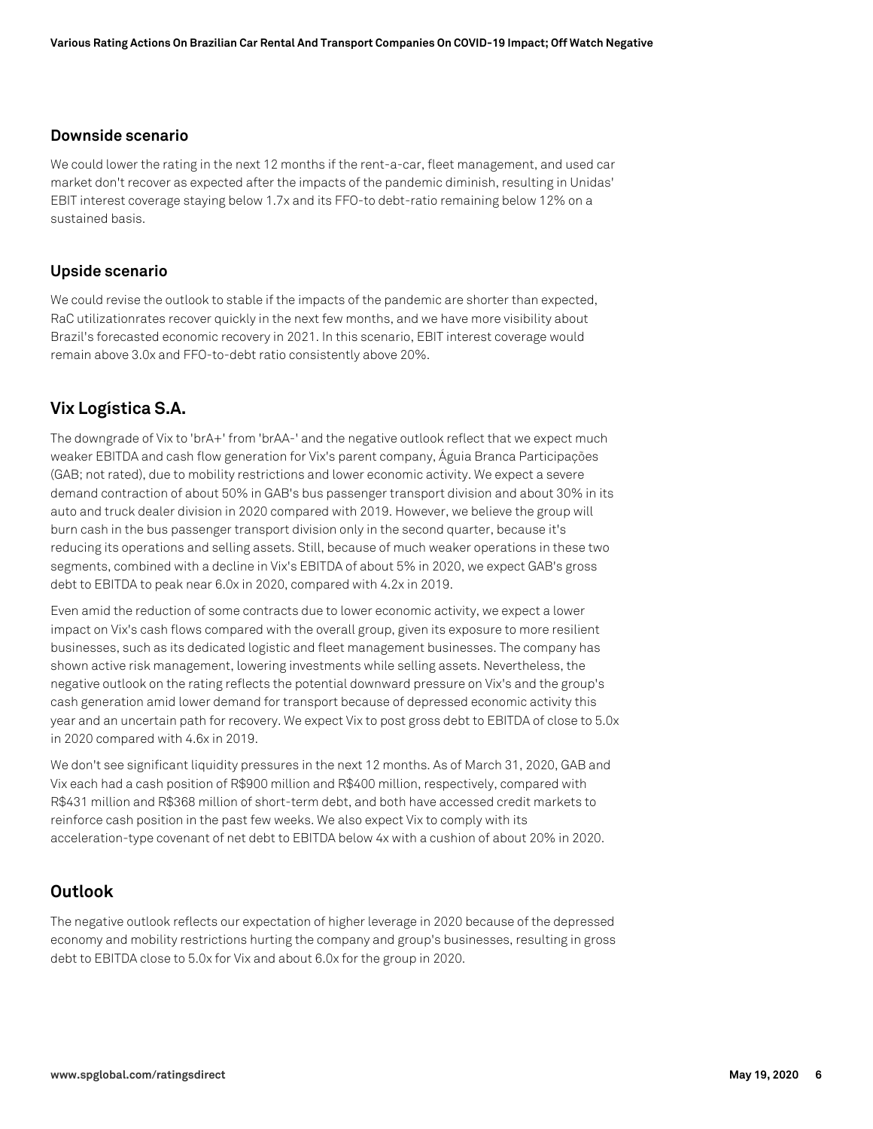#### **Downside scenario**

We could lower the rating in the next 12 months if the rent-a-car, fleet management, and used car market don't recover as expected after the impacts of the pandemic diminish, resulting in Unidas' EBIT interest coverage staying below 1.7x and its FFO-to debt-ratio remaining below 12% on a sustained basis.

#### **Upside scenario**

We could revise the outlook to stable if the impacts of the pandemic are shorter than expected, RaC utilizationrates recover quickly in the next few months, and we have more visibility about Brazil's forecasted economic recovery in 2021. In this scenario, EBIT interest coverage would remain above 3.0x and FFO-to-debt ratio consistently above 20%.

# **Vix Logística S.A.**

The downgrade of Vix to 'brA+' from 'brAA-' and the negative outlook reflect that we expect much weaker EBITDA and cash flow generation for Vix's parent company, Águia Branca Participações (GAB; not rated), due to mobility restrictions and lower economic activity. We expect a severe demand contraction of about 50% in GAB's bus passenger transport division and about 30% in its auto and truck dealer division in 2020 compared with 2019. However, we believe the group will burn cash in the bus passenger transport division only in the second quarter, because it's reducing its operations and selling assets. Still, because of much weaker operations in these two segments, combined with a decline in Vix's EBITDA of about 5% in 2020, we expect GAB's gross debt to EBITDA to peak near 6.0x in 2020, compared with 4.2x in 2019.

Even amid the reduction of some contracts due to lower economic activity, we expect a lower impact on Vix's cash flows compared with the overall group, given its exposure to more resilient businesses, such as its dedicated logistic and fleet management businesses. The company has shown active risk management, lowering investments while selling assets. Nevertheless, the negative outlook on the rating reflects the potential downward pressure on Vix's and the group's cash generation amid lower demand for transport because of depressed economic activity this year and an uncertain path for recovery. We expect Vix to post gross debt to EBITDA of close to 5.0x in 2020 compared with 4.6x in 2019.

We don't see significant liquidity pressures in the next 12 months. As of March 31, 2020, GAB and Vix each had a cash position of R\$900 million and R\$400 million, respectively, compared with R\$431 million and R\$368 million of short-term debt, and both have accessed credit markets to reinforce cash position in the past few weeks. We also expect Vix to comply with its acceleration-type covenant of net debt to EBITDA below 4x with a cushion of about 20% in 2020.

# **Outlook**

The negative outlook reflects our expectation of higher leverage in 2020 because of the depressed economy and mobility restrictions hurting the company and group's businesses, resulting in gross debt to EBITDA close to 5.0x for Vix and about 6.0x for the group in 2020.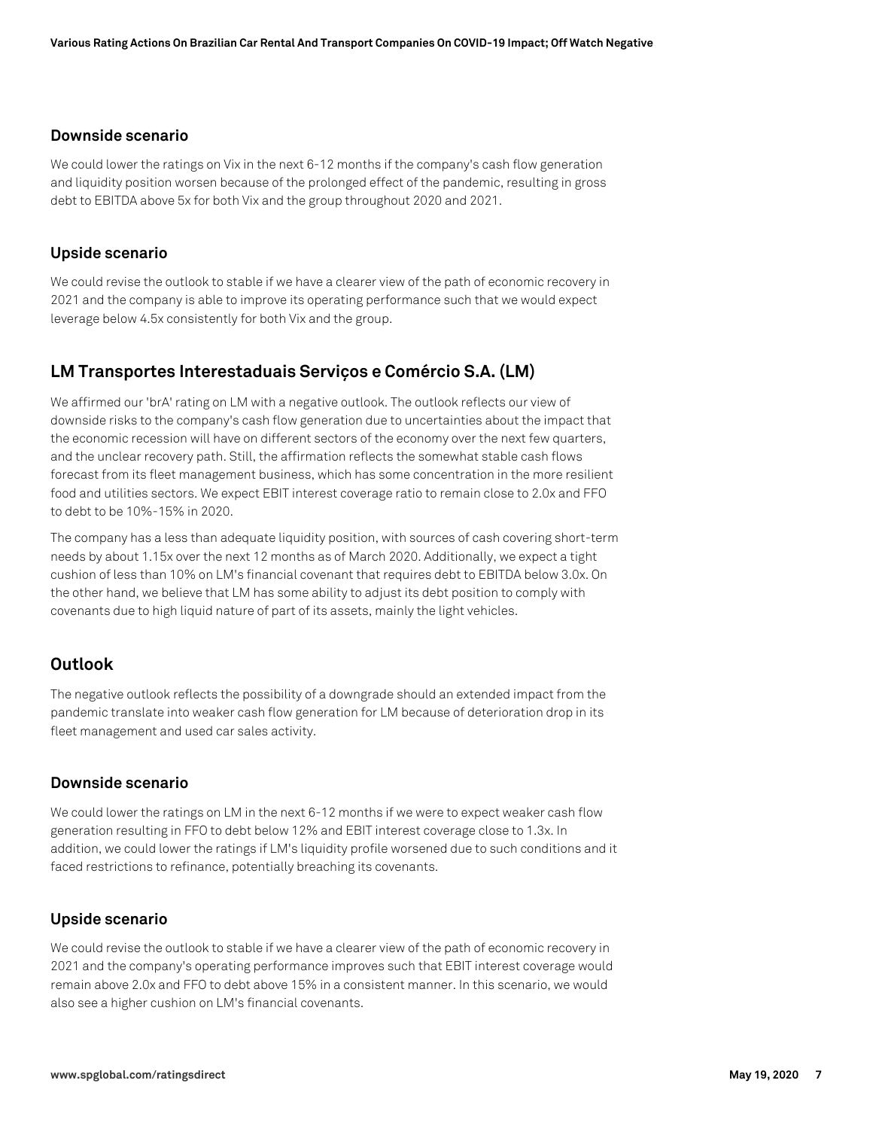#### **Downside scenario**

We could lower the ratings on Vix in the next 6-12 months if the company's cash flow generation and liquidity position worsen because of the prolonged effect of the pandemic, resulting in gross debt to EBITDA above 5x for both Vix and the group throughout 2020 and 2021.

#### **Upside scenario**

We could revise the outlook to stable if we have a clearer view of the path of economic recovery in 2021 and the company is able to improve its operating performance such that we would expect leverage below 4.5x consistently for both Vix and the group.

### **LM Transportes Interestaduais Serviços e Comércio S.A. (LM)**

We affirmed our 'brA' rating on LM with a negative outlook. The outlook reflects our view of downside risks to the company's cash flow generation due to uncertainties about the impact that the economic recession will have on different sectors of the economy over the next few quarters, and the unclear recovery path. Still, the affirmation reflects the somewhat stable cash flows forecast from its fleet management business, which has some concentration in the more resilient food and utilities sectors. We expect EBIT interest coverage ratio to remain close to 2.0x and FFO to debt to be 10%-15% in 2020.

The company has a less than adequate liquidity position, with sources of cash covering short-term needs by about 1.15x over the next 12 months as of March 2020. Additionally, we expect a tight cushion of less than 10% on LM's financial covenant that requires debt to EBITDA below 3.0x. On the other hand, we believe that LM has some ability to adjust its debt position to comply with covenants due to high liquid nature of part of its assets, mainly the light vehicles.

#### **Outlook**

The negative outlook reflects the possibility of a downgrade should an extended impact from the pandemic translate into weaker cash flow generation for LM because of deterioration drop in its fleet management and used car sales activity.

#### **Downside scenario**

We could lower the ratings on LM in the next 6-12 months if we were to expect weaker cash flow generation resulting in FFO to debt below 12% and EBIT interest coverage close to 1.3x. In addition, we could lower the ratings if LM's liquidity profile worsened due to such conditions and it faced restrictions to refinance, potentially breaching its covenants.

#### **Upside scenario**

We could revise the outlook to stable if we have a clearer view of the path of economic recovery in 2021 and the company's operating performance improves such that EBIT interest coverage would remain above 2.0x and FFO to debt above 15% in a consistent manner. In this scenario, we would also see a higher cushion on LM's financial covenants.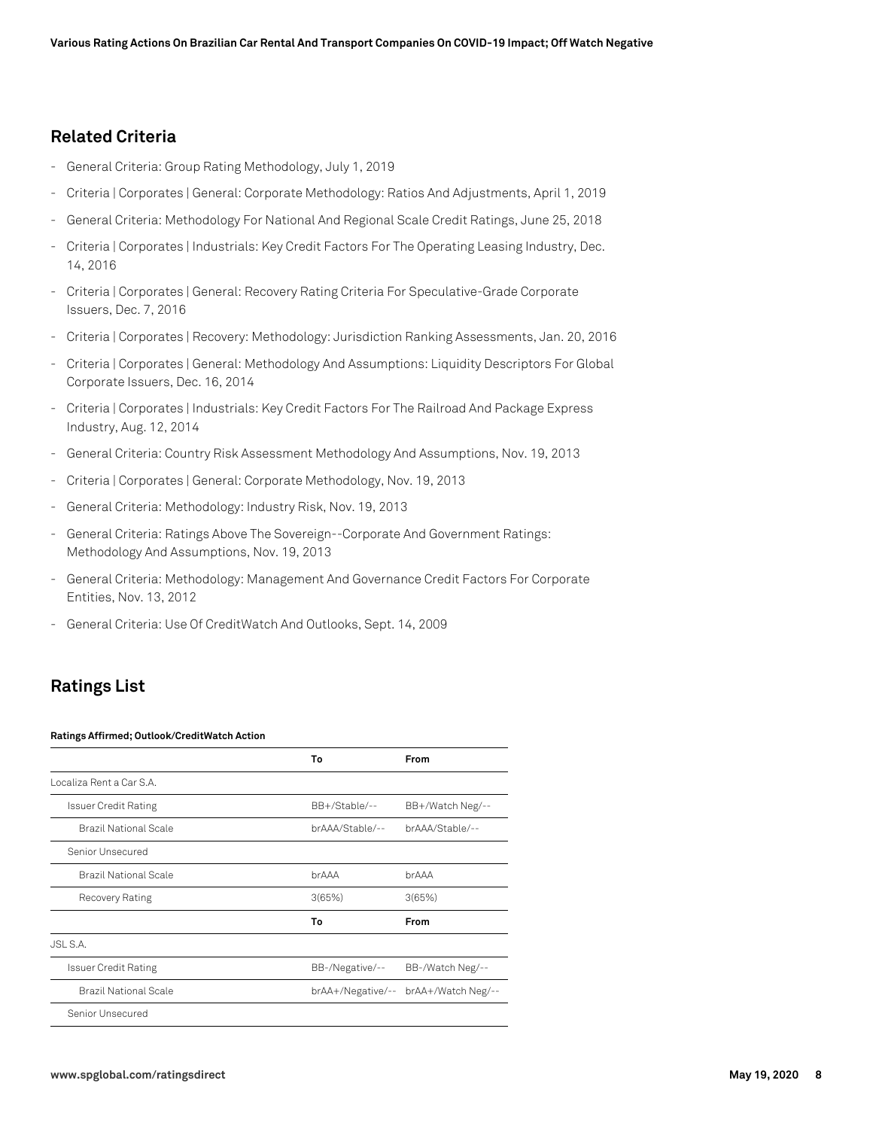### **Related Criteria**

- General Criteria: Group Rating Methodology, July 1, 2019
- Criteria | Corporates | General: Corporate Methodology: Ratios And Adjustments, April 1, 2019
- General Criteria: Methodology For National And Regional Scale Credit Ratings, June 25, 2018
- Criteria | Corporates | Industrials: Key Credit Factors For The Operating Leasing Industry, Dec. 14, 2016
- Criteria | Corporates | General: Recovery Rating Criteria For Speculative-Grade Corporate Issuers, Dec. 7, 2016
- Criteria | Corporates | Recovery: Methodology: Jurisdiction Ranking Assessments, Jan. 20, 2016
- Criteria | Corporates | General: Methodology And Assumptions: Liquidity Descriptors For Global Corporate Issuers, Dec. 16, 2014
- Criteria | Corporates | Industrials: Key Credit Factors For The Railroad And Package Express Industry, Aug. 12, 2014
- General Criteria: Country Risk Assessment Methodology And Assumptions, Nov. 19, 2013
- Criteria | Corporates | General: Corporate Methodology, Nov. 19, 2013
- General Criteria: Methodology: Industry Risk, Nov. 19, 2013
- General Criteria: Ratings Above The Sovereign--Corporate And Government Ratings: Methodology And Assumptions, Nov. 19, 2013
- General Criteria: Methodology: Management And Governance Credit Factors For Corporate Entities, Nov. 13, 2012
- General Criteria: Use Of CreditWatch And Outlooks, Sept. 14, 2009

# **Ratings List**

#### **Ratings Affirmed; Outlook/CreditWatch Action**

|                              | To                | From               |
|------------------------------|-------------------|--------------------|
| Localiza Rent a Car S.A.     |                   |                    |
| <b>Issuer Credit Rating</b>  | BB+/Stable/--     | BB+/Watch Neg/--   |
| <b>Brazil National Scale</b> | brAAA/Stable/--   | brAAA/Stable/--    |
| Senior Unsecured             |                   |                    |
| <b>Brazil National Scale</b> | brAAA             | brAAA              |
| Recovery Rating              | 3(65%)            | 3(65%)             |
|                              | To                | From               |
| JSL S.A.                     |                   |                    |
| <b>Issuer Credit Rating</b>  | BB-/Negative/--   | BB-/Watch Neg/--   |
| <b>Brazil National Scale</b> | brAA+/Negative/-- | brAA+/Watch Neg/-- |
| Senior Unsecured             |                   |                    |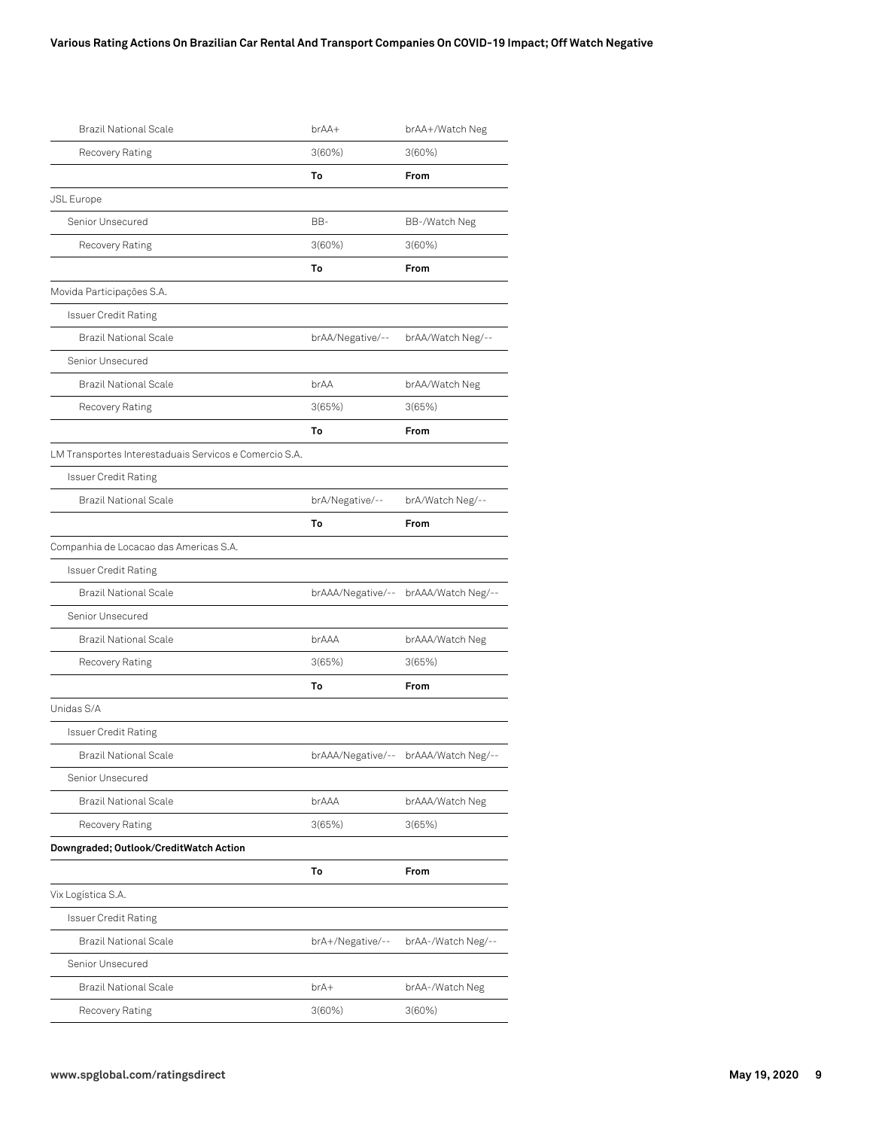#### **Various Rating Actions On Brazilian Car Rental And Transport Companies On COVID-19 Impact; Off Watch Negative**

| <b>Brazil National Scale</b>                           | brAA+             | brAA+/Watch Neg                      |
|--------------------------------------------------------|-------------------|--------------------------------------|
| Recovery Rating                                        | 3(60%)            | 3(60%)                               |
|                                                        | To                | From                                 |
| <b>JSL Europe</b>                                      |                   |                                      |
| Senior Unsecured                                       | BB-               | BB-/Watch Neg                        |
| Recovery Rating                                        | 3(60%)            | 3(60%)                               |
|                                                        | To                | From                                 |
| Movida Participações S.A.                              |                   |                                      |
| <b>Issuer Credit Rating</b>                            |                   |                                      |
| <b>Brazil National Scale</b>                           | brAA/Negative/--  | brAA/Watch Neg/--                    |
| Senior Unsecured                                       |                   |                                      |
| <b>Brazil National Scale</b>                           | brAA              | brAA/Watch Neg                       |
| Recovery Rating                                        | 3(65%)            | 3(65%)                               |
|                                                        | To                | From                                 |
| LM Transportes Interestaduais Servicos e Comercio S.A. |                   |                                      |
| Issuer Credit Rating                                   |                   |                                      |
| <b>Brazil National Scale</b>                           | brA/Negative/--   | brA/Watch Neg/--                     |
|                                                        | To                | From                                 |
| Companhia de Locacao das Americas S.A.                 |                   |                                      |
| <b>Issuer Credit Rating</b>                            |                   |                                      |
| <b>Brazil National Scale</b>                           | brAAA/Negative/-- | brAAA/Watch Neg/--                   |
| Senior Unsecured                                       |                   |                                      |
| <b>Brazil National Scale</b>                           | brAAA             | brAAA/Watch Neg                      |
| Recovery Rating                                        | 3(65%)            | 3(65%)                               |
|                                                        | To                | From                                 |
| Unidas S/A                                             |                   |                                      |
| <b>Issuer Credit Rating</b>                            |                   |                                      |
| Brazil National Scale                                  |                   | brAAA/Negative/-- brAAA/Watch Neg/-- |
| Senior Unsecured                                       |                   |                                      |
| <b>Brazil National Scale</b>                           | brAAA             | brAAA/Watch Neg                      |
| Recovery Rating                                        | 3(65%)            | 3(65%)                               |
| Downgraded; Outlook/CreditWatch Action                 |                   |                                      |
|                                                        | To                | From                                 |
| Vix Logística S.A.                                     |                   |                                      |
| <b>Issuer Credit Rating</b>                            |                   |                                      |
| <b>Brazil National Scale</b>                           | brA+/Negative/--  | brAA-/Watch Neg/--                   |
| Senior Unsecured                                       |                   |                                      |
| <b>Brazil National Scale</b>                           | brA+              | brAA-/Watch Neg                      |
| Recovery Rating                                        | 3(60%)            | 3(60%)                               |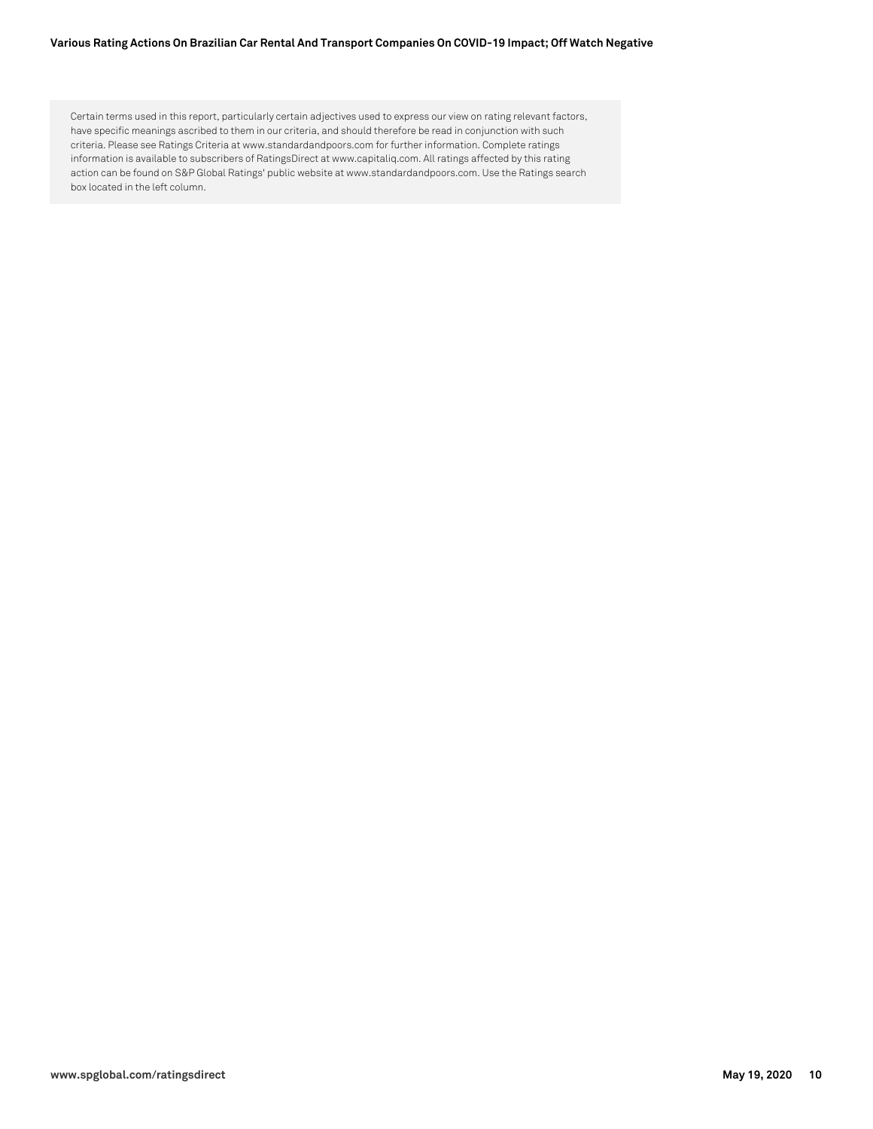#### **Various Rating Actions On Brazilian Car Rental And Transport Companies On COVID-19 Impact; Off Watch Negative**

Certain terms used in this report, particularly certain adjectives used to express our view on rating relevant factors, have specific meanings ascribed to them in our criteria, and should therefore be read in conjunction with such criteria. Please see Ratings Criteria at www.standardandpoors.com for further information. Complete ratings information is available to subscribers of RatingsDirect at www.capitaliq.com. All ratings affected by this rating action can be found on S&P Global Ratings' public website at www.standardandpoors.com. Use the Ratings search box located in the left column.